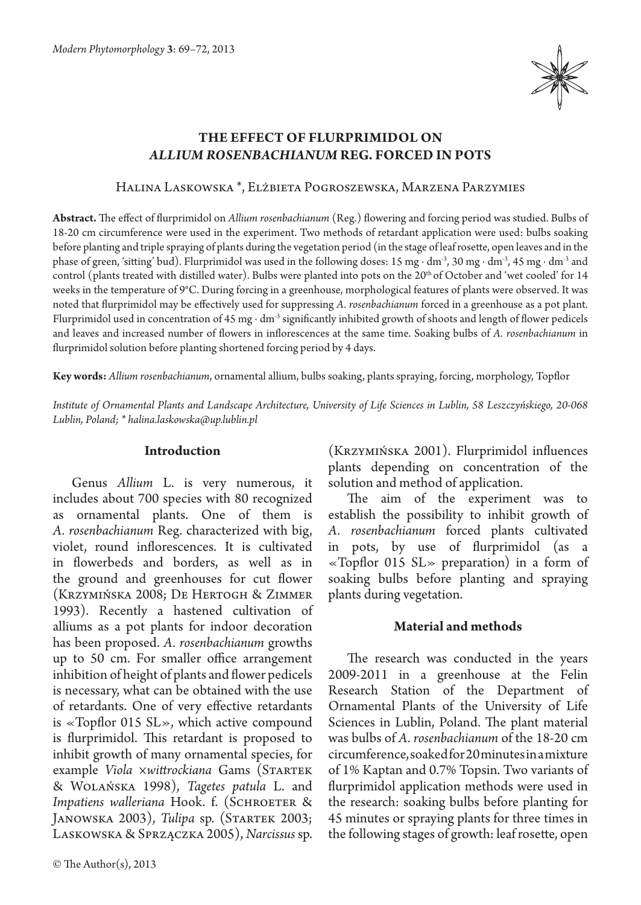

# **The effect of flurprimidol on**  *Allium rosenbachianum* **Reg. forced in pots**

#### Halina Laskowska \*, Elżbieta Pogroszewska, Marzena Parzymies

**Abstract.** The effect of flurprimidol on *Allium rosenbachianum* (Reg.) flowering and forcing period was studied. Bulbs of 18-20 cm circumference were used in the experiment. Two methods of retardant application were used: bulbs soaking before planting and triple spraying of plants during the vegetation period (in the stage of leaf rosette, open leaves and in the phase of green, 'sitting' bud). Flurprimidol was used in the following doses: 15 mg ∙ dm-3, 30 mg ∙ dm-3, 45 mg ∙ dm-3 and control (plants treated with distilled water). Bulbs were planted into pots on the 20th of October and 'wet cooled' for 14 weeks in the temperature of 9°C. During forcing in a greenhouse, morphological features of plants were observed. It was noted that flurprimidol may be effectively used for suppressing *A. rosenbachianum* forced in a greenhouse as a pot plant. Flurprimidol used in concentration of 45 mg ∙ dm-3 significantly inhibited growth of shoots and length of flower pedicels and leaves and increased number of flowers in inflorescences at the same time. Soaking bulbs of *A. rosenbachianum* in flurprimidol solution before planting shortened forcing period by 4 days.

**Key words:** *Allium rosenbachianum*, ornamental allium, bulbs soaking, plants spraying, forcing, morphology, Topflor

*Institute of Ornamental Plants and Landscape Architecture, University of Life Sciences in Lublin, 58 Leszczyńskiego, 20-068 Lublin, Poland; \* halina.laskowska@up.lublin.pl*

#### **Introduction**

Genus *Allium* L. is very numerous, it includes about 700 species with 80 recognized as ornamental plants. One of them is *A. rosenbachianum* Reg. characterized with big, violet, round inflorescences. It is cultivated in flowerbeds and borders, as well as in the ground and greenhouses for cut flower (Krzymińska 2008; De Hertogh & Zimmer 1993). Recently a hastened cultivation of alliums as a pot plants for indoor decoration has been proposed. *A. rosenbachianum* growths up to 50 cm. For smaller office arrangement inhibition of height of plants and flower pedicels is necessary, what can be obtained with the use of retardants. One of very effective retardants is «Topflor 015 SL», which active compound is flurprimidol. This retardant is proposed to inhibit growth of many ornamental species, for example *Viola ×wittrockiana* Gams (Startek & Wolańska 1998), *Tagetes patula* L. and *Impatiens walleriana* Hook. f. (SCHROETER & Janowska 2003), *Tulipa* sp. (Startek 2003; Laskowska & Sprzączka 2005), *Narcissus* sp.

(Krzymińska 2001). Flurprimidol influences plants depending on concentration of the solution and method of application.

The aim of the experiment was to establish the possibility to inhibit growth of *A. rosenbachianum* forced plants cultivated in pots, by use of flurprimidol (as a «Topflor 015  $SL$ » preparation) in a form of soaking bulbs before planting and spraying plants during vegetation.

#### **Material and methods**

The research was conducted in the years 2009-2011 in a greenhouse at the Felin Research Station of the Department of Ornamental Plants of the University of Life Sciences in Lublin, Poland. The plant material was bulbs of *A. rosenbachianum* of the 18-20 cm circumference, soaked for 20 minutes in a mixture of 1% Kaptan and 0.7% Topsin. Two variants of flurprimidol application methods were used in the research: soaking bulbs before planting for 45 minutes or spraying plants for three times in the following stages of growth: leaf rosette, open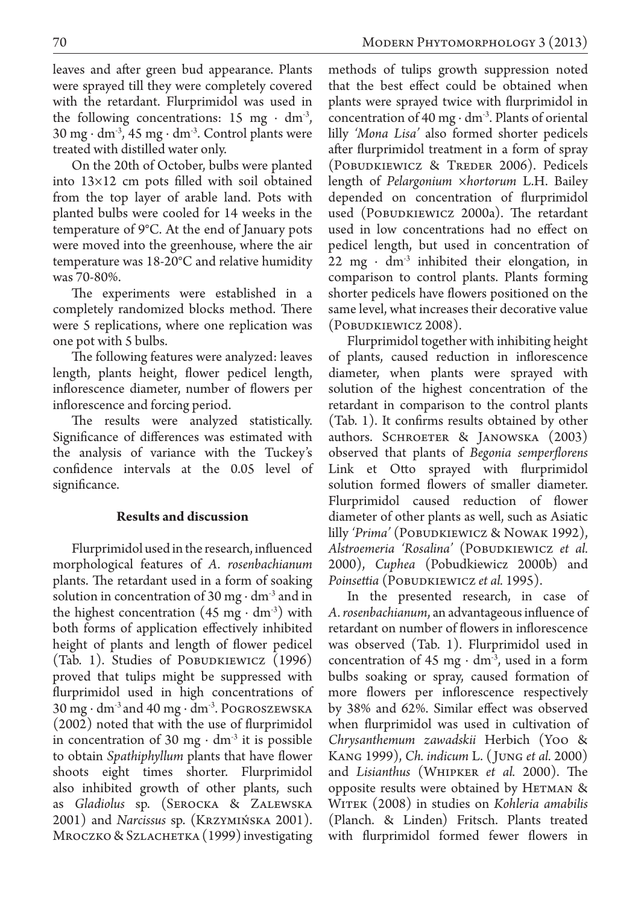leaves and after green bud appearance. Plants were sprayed till they were completely covered with the retardant. Flurprimidol was used in the following concentrations: 15 mg  $\cdot$  dm<sup>-3</sup>, 30 mg ∙ dm-3, 45 mg ∙ dm-3. Control plants were treated with distilled water only.

On the 20th of October, bulbs were planted into 13×12 cm pots filled with soil obtained from the top layer of arable land. Pots with planted bulbs were cooled for 14 weeks in the temperature of 9°C. At the end of January pots were moved into the greenhouse, where the air temperature was 18-20°C and relative humidity was 70-80%.

The experiments were established in a completely randomized blocks method. There were 5 replications, where one replication was one pot with 5 bulbs.

The following features were analyzed: leaves length, plants height, flower pedicel length, inflorescence diameter, number of flowers per inflorescence and forcing period.

The results were analyzed statistically. Significance of differences was estimated with the analysis of variance with the Tuckey's confidence intervals at the 0.05 level of significance.

## **Results and discussion**

Flurprimidol used in the research, influenced morphological features of *A. rosenbachianum*  plants. The retardant used in a form of soaking solution in concentration of 30 mg ⋅ dm<sup>3</sup> and in the highest concentration  $(45 \text{ mg} \cdot \text{dm}^3)$  with both forms of application effectively inhibited height of plants and length of flower pedicel (Tab. 1). Studies of POBUDKIEWICZ (1996) proved that tulips might be suppressed with flurprimidol used in high concentrations of 30 mg ∙ dm-3 and 40 mg ∙ dm-3. Pogroszewska (2002) noted that with the use of flurprimidol in concentration of 30 mg  $\cdot$  dm<sup>-3</sup> it is possible to obtain *Spathiphyllum* plants that have flower shoots eight times shorter. Flurprimidol also inhibited growth of other plants, such as *Gladiolus* sp. (Serocka & Zalewska 2001) and *Narcissus* sp. (Krzymińska 2001). MROCZKO & SZLACHETKA (1999) investigating

methods of tulips growth suppression noted that the best effect could be obtained when plants were sprayed twice with flurprimidol in concentration of 40 mg ⋅  $dm^3$ . Plants of oriental lilly *'Mona Lisa'* also formed shorter pedicels after flurprimidol treatment in a form of spray (POBUDKIEWICZ & TREDER 2006). Pedicels length of *Pelargonium ×hortorum* L.H. Bailey depended on concentration of flurprimidol used (POBUDKIEWICZ 2000a). The retardant used in low concentrations had no effect on pedicel length, but used in concentration of 22 mg  $\cdot$  dm<sup>-3</sup> inhibited their elongation, in comparison to control plants. Plants forming shorter pedicels have flowers positioned on the same level, what increases their decorative value (Pobudkiewicz 2008).

Flurprimidol together with inhibiting height of plants, caused reduction in inflorescence diameter, when plants were sprayed with solution of the highest concentration of the retardant in comparison to the control plants (Tab. 1). It confirms results obtained by other authors. Schroeter & Janowska (2003) observed that plants of *Begonia semperflorens* Link et Otto sprayed with flurprimidol solution formed flowers of smaller diameter. Flurprimidol caused reduction of flower diameter of other plants as well, such as Asiatic lilly *'Prima'* (POBUDKIEWICZ & NOWAK 1992), *Alstroemeria 'Rosalina'* (Pobudkiewicz *et al.* 2000), *Cuphea* (Pobudkiewicz 2000b) and *Poinsettia* (Pobudkiewicz *et al.* 1995).

In the presented research, in case of *A. rosenbachianum*, an advantageous influence of retardant on number of flowers in inflorescence was observed (Tab. 1). Flurprimidol used in concentration of 45 mg  $\cdot$  dm<sup>-3</sup>, used in a form bulbs soaking or spray, caused formation of more flowers per inflorescence respectively by 38% and 62%. Similar effect was observed when flurprimidol was used in cultivation of *Chrysanthemum zawadskii* Herbich (Yoo & Kang 1999), *Ch. indicum* L. ( Jung *et al.* 2000) and *Lisianthus* (Whipker *et al.* 2000). The opposite results were obtained by HETMAN  $\&$ Witek (2008) in studies on *Kohleria amabilis*  (Planch. & Linden) Fritsch. Plants treated with flurprimidol formed fewer flowers in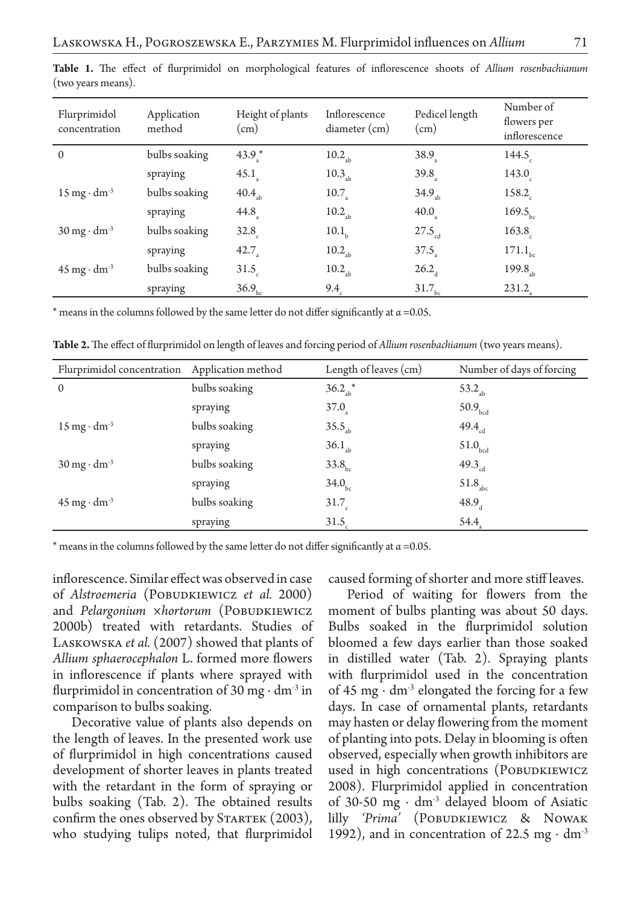| Flurprimidol<br>concentration        | Application<br>method | Height of plants<br>$\text{cm}$ ) | Inflorescence<br>diameter (cm) | Pedicel length<br>(cm) | Number of<br>flowers per<br>inflorescence |
|--------------------------------------|-----------------------|-----------------------------------|--------------------------------|------------------------|-------------------------------------------|
| $\Omega$                             | bulbs soaking         | $43.9$ *                          | $10.2_{\text{ab}}$             | 38.9 <sub>3</sub>      | 144.5                                     |
|                                      | spraying              | $45.1$ <sub>s</sub>               | 10.3 <sub>ab</sub>             | 39.8                   | 143.0                                     |
| $15 \text{ mg} \cdot \text{dm}^{-3}$ | bulbs soaking         | 40.4 <sub>ab</sub>                | 10.7                           | 34.9 <sub>ab</sub>     | 158.2                                     |
|                                      | spraying              | $44.8$ <sub>s</sub>               | $10.2_{\text{ab}}$             | $40.0$ <sub>s</sub>    | 169.5 <sub>bc</sub>                       |
| $30 \text{ mg} \cdot \text{dm}^{-3}$ | bulbs soaking         | 32.8                              | 10.1 <sub>b</sub>              | $27.5_{\rm cd}$        | 163.8                                     |
|                                      | spraying              | 42.7 <sub>2</sub>                 | $10.2_{\rm sh}$                | $37.5$ <sub>2</sub>    | $171.1_{\rm bc}$                          |
| $45 \text{ mg} \cdot \text{dm}^{-3}$ | bulbs soaking         | 31.5 <sub>c</sub>                 | $10.2_{\text{ab}}$             | $26.2_{\mu}$           | 199.8 <sub>ab</sub>                       |
|                                      | spraying              | 36.9 <sub>bc</sub>                | 9.4 <sub>c</sub>               | $31.7_{bc}$            | $231.2$ <sub>s</sub>                      |

**Table 1.** The effect of flurprimidol on morphological features of inflorescence shoots of *Allium rosenbachianum*  (two years means).

\* means in the columns followed by the same letter do not differ significantly at  $\alpha$  =0.05.

| <b>Table 2.</b> The effect of flurprimidol on length of leaves and forcing period of Allium rosenbachianum (two years means). |  |
|-------------------------------------------------------------------------------------------------------------------------------|--|
|-------------------------------------------------------------------------------------------------------------------------------|--|

| Flurprimidol concentration Application method |               | Length of leaves (cm) | Number of days of forcing |
|-----------------------------------------------|---------------|-----------------------|---------------------------|
| $\Omega$                                      | bulbs soaking | $36.2_{\text{ab}}$ *  | 53.2 <sub>sh</sub>        |
|                                               | spraying      | 37.0 <sub>a</sub>     | 50.9 <sub>bcd</sub>       |
| $15 \text{ mg} \cdot \text{dm}^3$             | bulbs soaking | 35.5 <sub>ab</sub>    | 49.4 <sub>cd</sub>        |
|                                               | spraying      | $36.1_{ab}$           | $51.0$ <sub>bcd</sub>     |
| $30 \text{ mg} \cdot \text{dm}^{-3}$          | bulbs soaking | 33.8 <sub>bc</sub>    | 49.3 <sub>cd</sub>        |
|                                               | spraying      | 34.0 <sub>bc</sub>    | 51.8 <sub>abc</sub>       |
| $45 \text{ mg} \cdot \text{dm}^{-3}$          | bulbs soaking | 31.7 <sub>c</sub>     | 48.9 <sub>a</sub>         |
|                                               | spraying      | 31.5 <sub>c</sub>     | 54.4                      |

\* means in the columns followed by the same letter do not differ significantly at  $\alpha$  =0.05.

inflorescence. Similar effect was observed in case of Alstroemeria (POBUDKIEWICZ et al. 2000) and *Pelargonium ×hortorum* (POBUDKIEWICZ 2000b) treated with retardants. Studies of LASKOWSKA *et al.* (2007) showed that plants of *Allium sphaerocephalon* L. formed more flowers in inflorescence if plants where sprayed with flurprimidol in concentration of 30 mg ⋅ dm<sup>-3</sup> in comparison to bulbs soaking.

Decorative value of plants also depends on the length of leaves. In the presented work use of flurprimidol in high concentrations caused development of shorter leaves in plants treated with the retardant in the form of spraying or bulbs soaking (Tab. 2). The obtained results confirm the ones observed by STARTEK (2003), who studying tulips noted, that flurprimidol caused forming of shorter and more stiff leaves.

Period of waiting for flowers from the moment of bulbs planting was about 50 days. Bulbs soaked in the flurprimidol solution bloomed a few days earlier than those soaked in distilled water (Tab. 2). Spraying plants with flurprimidol used in the concentration of 45 mg ⋅ dm<sup>-3</sup> elongated the forcing for a few days. In case of ornamental plants, retardants may hasten or delay flowering from the moment of planting into pots. Delay in blooming is often observed, especially when growth inhibitors are used in high concentrations (POBUDKIEWICZ 2008). Flurprimidol applied in concentration of 30-50 mg  $\cdot$  dm<sup>3</sup> delayed bloom of Asiatic lilly *'Prima'* (Pobudkiewicz & Nowak 1992), and in concentration of 22.5 mg ⋅  $dm<sup>3</sup>$